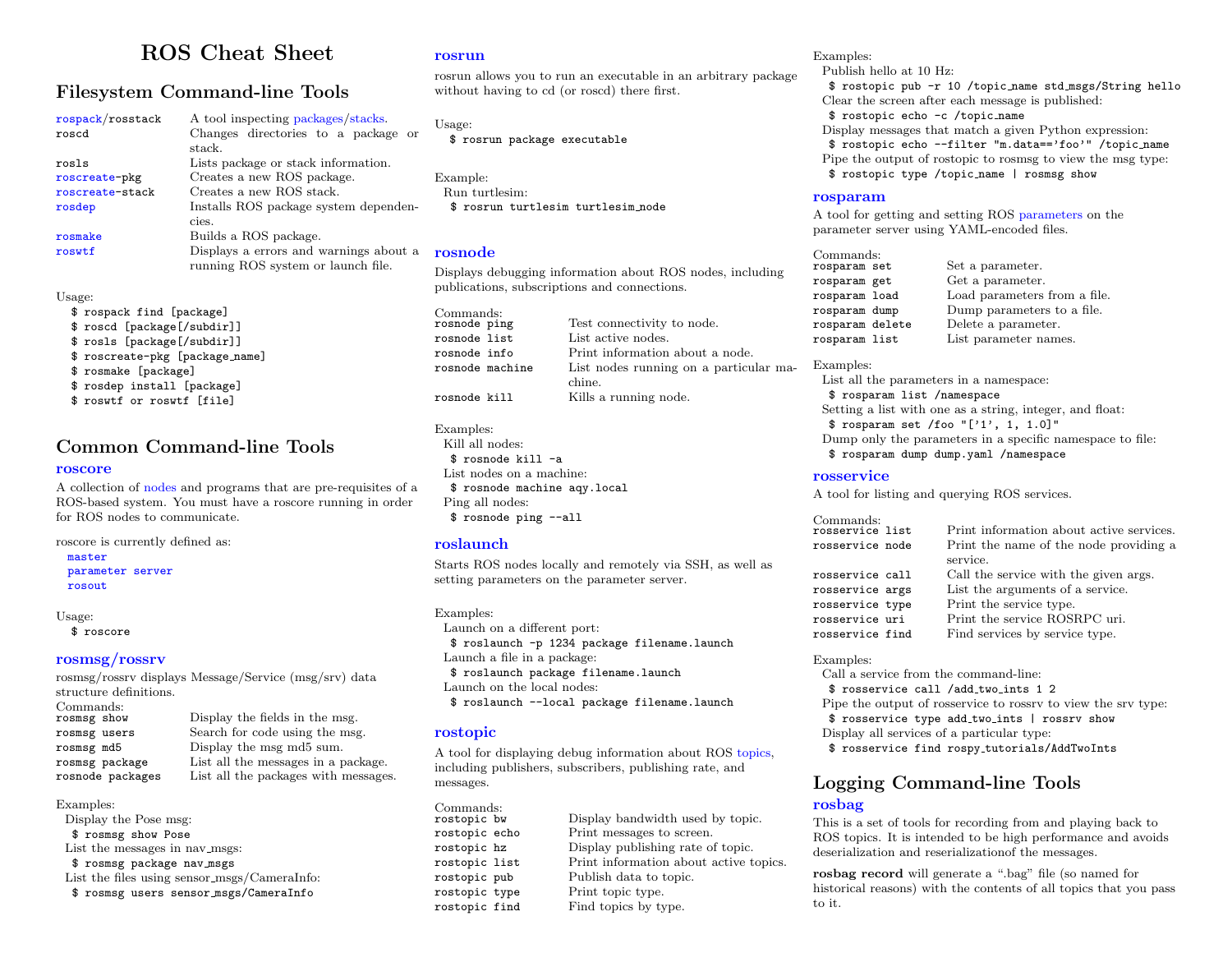# ROS Cheat Sheet

### Filesystem Command-line Tools

| rospack/rosstack | A tool inspecting packages/stacks.     |  |  |  |  |  |  |
|------------------|----------------------------------------|--|--|--|--|--|--|
| roscd            | Changes directories to a package or    |  |  |  |  |  |  |
|                  | stack.                                 |  |  |  |  |  |  |
| rosls            | Lists package or stack information.    |  |  |  |  |  |  |
| roscreate-pkg    | Creates a new ROS package.             |  |  |  |  |  |  |
| roscreate-stack  | Creates a new ROS stack.               |  |  |  |  |  |  |
| rosdep           | Installs ROS package system dependen-  |  |  |  |  |  |  |
|                  | cies.                                  |  |  |  |  |  |  |
| rosmake          | Builds a ROS package.                  |  |  |  |  |  |  |
| roswtf           | Displays a errors and warnings about a |  |  |  |  |  |  |
|                  | running ROS system or launch file.     |  |  |  |  |  |  |

#### Usage:

\$ rospack find [package] \$ roscd [package[/subdir]] \$ rosls [package[/subdir]] \$ roscreate-pkg [package name] \$ rosmake [package] \$ rosdep install [package] \$ roswtf or roswtf [file]

### Common Command-line Tools

#### [roscore](http://www.ros.org/wiki/roscore)

A collection of [nodes](http://www.ros.org/wiki/Nodes) and programs that are pre-requisites of a ROS-based system. You must have a roscore running in order for ROS nodes to communicate.

roscore is currently defined as: [master](http://www.ros.org/wiki/Master) [parameter server](http://www.ros.org/wiki/Parameter Server)

[rosout](http://www.ros.org/wiki/rosout)

#### Usage:

\$ roscore

#### [rosmsg/rossrv](http://www.ros.org/wiki/rosmsg)

rosmsg/rossrv displays Message/Service (msg/srv) data structure definitions. Commands:<br>rosmsg show Display the fields in the msg.

Examples: Display the Pose msg: \$ rosmsg show Pose List the messages in nav\_msgs: \$ rosmsg package nav msgs List the files using sensor msgs/CameraInfo: \$ rosmsg users sensor msgs/CameraInfo

#### [rosrun](http://www.ros.org/wiki/rosrun)

rosrun allows you to run an executable in an arbitrary package without having to cd (or roscd) there first.

Usage: \$ rosrun package executable

Example: Run turtlesim: \$ rosrun turtlesim turtlesim node

#### [rosnode](http://www.ros.org/wiki/rosnode)

Displays debugging information about ROS nodes, including publications, subscriptions and connections.

Commands:<br>rosnode ping rosnode ping Test connectivity to node.<br>
rosnode list List active nodes. List active nodes. rosnode info Print information about a node. rosnode machine List nodes running on a particular machine. rosnode kill Kills a running node.

#### Examples:

Kill all nodes: \$ rosnode kill -a List nodes on a machine: \$ rosnode machine aqy.local Ping all nodes: \$ rosnode ping --all

#### [roslaunch](http://www.ros.org/wiki/roslaunch)

Starts ROS nodes locally and remotely via SSH, as well as setting parameters on the parameter server.

#### Examples:

Launch on a different port: \$ roslaunch -p 1234 package filename.launch Launch a file in a package: \$ roslaunch package filename.launch Launch on the local nodes: \$ roslaunch --local package filename.launch

#### [rostopic](http://www.ros.org/wiki/rostopic)

A tool for displaying debug information about ROS [topics,](http://www.ros.org/wiki/Topics) including publishers, subscribers, publishing rate, and messages.

Display bandwidth used by topic. rostopic echo Print messages to screen. rostopic hz Display publishing rate of topic. rostopic list Print information about active topics. rostopic pub Publish data to topic. rostopic type Print topic type.<br>
rostopic find Find topics by ty Find topics by type.

#### Examples:

Publish hello at 10 Hz: \$ rostopic pub -r 10 /topic name std msgs/String hello Clear the screen after each message is published: \$ rostopic echo -c /topic name Display messages that match a given Python expression: \$ rostopic echo --filter "m.data=='foo'" /topic name Pipe the output of rostopic to rosmsg to view the msg type: \$ rostopic type /topic name | rosmsg show

#### [rosparam](http://www.ros.org/wiki/rosparam)

A tool for getting and setting ROS [parameters](http://www.ros.org/wiki/Parameter Server) on the parameter server using YAML-encoded files.

| Commands:<br>rosparam set | Set a parameter.             |
|---------------------------|------------------------------|
| rosparam get              | Get a parameter.             |
| rosparam load             | Load parameters from a file. |
| rosparam dump             | Dump parameters to a file.   |
| rosparam delete           | Delete a parameter.          |
| rosparam list             | List parameter names.        |

Examples:

List all the parameters in a namespace: \$ rosparam list /namespace Setting a list with one as a string, integer, and float: \$ rosparam set /foo "['1', 1, 1.0]" Dump only the parameters in a specific namespace to file: \$ rosparam dump dump.yaml /namespace

#### [rosservice](http://www.ros.org/wiki/rosservice)

A tool for listing and querying ROS services.

| Print information about active services. |
|------------------------------------------|
| Print the name of the node providing a   |
| service.                                 |
| Call the service with the given args.    |
| List the arguments of a service.         |
| Print the service type.                  |
| Print the service ROSRPC uri.            |
| Find services by service type.           |
|                                          |

#### Examples:

Call a service from the command-line: \$ rosservice call /add two ints 1 2 Pipe the output of rosservice to rossrv to view the srv type: \$ rosservice type add two ints | rossrv show Display all services of a particular type: \$ rosservice find rospy tutorials/AddTwoInts

# Logging Command-line Tools

### [rosbag](http://www.ros.org/wiki/rosbag)

This is a set of tools for recording from and playing back to ROS topics. It is intended to be high performance and avoids deserialization and reserializationof the messages.

rosbag record will generate a ".bag" file (so named for historical reasons) with the contents of all topics that you pass to it.

rosmsg users Search for code using the msg. rosmsg md5 Display the msg md5 sum. rosmsg package List all the messages in a package. rosnode packages List all the packages with messages.

Commands:<br>rostopic bw